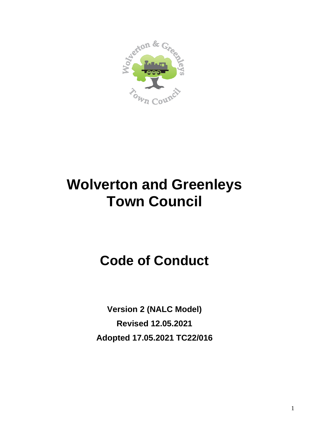

# **Wolverton and Greenleys Town Council**

## **Code of Conduct**

**Version 2 (NALC Model) Revised 12.05.2021 Adopted 17.05.2021 TC22/016**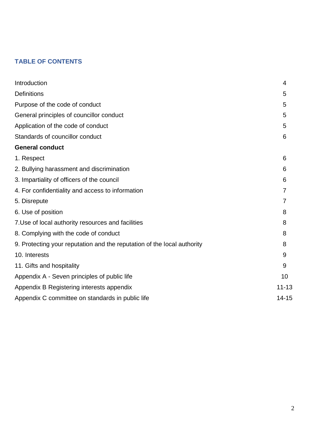## **TABLE OF CONTENTS**

| Introduction                                                            | 4         |
|-------------------------------------------------------------------------|-----------|
| <b>Definitions</b>                                                      | 5         |
| Purpose of the code of conduct                                          | 5         |
| General principles of councillor conduct                                | 5         |
| Application of the code of conduct                                      | 5         |
| Standards of councillor conduct                                         | 6         |
| <b>General conduct</b>                                                  |           |
| 1. Respect                                                              | 6         |
| 2. Bullying harassment and discrimination                               | 6         |
| 3. Impartiality of officers of the council                              | 6         |
| 4. For confidentiality and access to information                        | 7         |
| 5. Disrepute                                                            |           |
| 6. Use of position                                                      | 8         |
| 7. Use of local authority resources and facilities                      | 8         |
| 8. Complying with the code of conduct                                   | 8         |
| 9. Protecting your reputation and the reputation of the local authority | 8         |
| 10. Interests                                                           | 9         |
| 11. Gifts and hospitality                                               | 9         |
| Appendix A - Seven principles of public life                            | 10        |
| Appendix B Registering interests appendix                               | $11 - 13$ |
| Appendix C committee on standards in public life                        | 14-15     |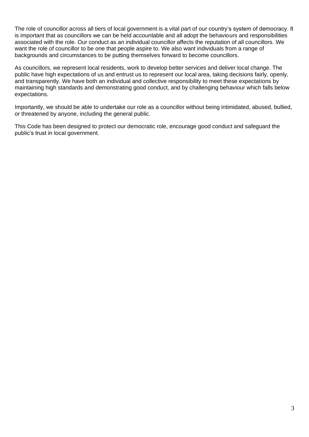The role of councillor across all tiers of local government is a vital part of our country's system of democracy. It is important that as councillors we can be held accountable and all adopt the behaviours and responsibilities associated with the role. Our conduct as an individual councillor affects the reputation of all councillors. We want the role of councillor to be one that people aspire to. We also want individuals from a range of backgrounds and circumstances to be putting themselves forward to become councillors.

As councillors, we represent local residents, work to develop better services and deliver local change. The public have high expectations of us and entrust us to represent our local area, taking decisions fairly, openly, and transparently. We have both an individual and collective responsibility to meet these expectations by maintaining high standards and demonstrating good conduct, and by challenging behaviour which falls below expectations.

Importantly, we should be able to undertake our role as a councillor without being intimidated, abused, bullied, or threatened by anyone, including the general public.

This Code has been designed to protect our democratic role, encourage good conduct and safeguard the public's trust in local government.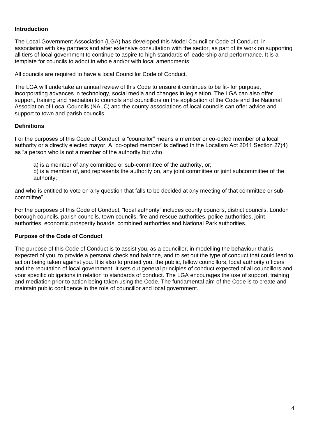#### **Introduction**

The Local Government Association (LGA) has developed this Model Councillor Code of Conduct, in association with key partners and after extensive consultation with the sector, as part of its work on supporting all tiers of local government to continue to aspire to high standards of leadership and performance. It is a template for councils to adopt in whole and/or with local amendments.

All councils are required to have a local Councillor Code of Conduct.

The LGA will undertake an annual review of this Code to ensure it continues to be fit- for purpose, incorporating advances in technology, social media and changes in legislation. The LGA can also offer support, training and mediation to councils and councillors on the application of the Code and the National Association of Local Councils (NALC) and the county associations of local councils can offer advice and support to town and parish councils.

#### **Definitions**

For the purposes of this Code of Conduct, a "councillor" means a member or co-opted member of a local authority or a directly elected mayor. A "co-opted member" is defined in the Localism Act 2011 Section 27(4) as "a person who is not a member of the authority but who

a) is a member of any committee or sub-committee of the authority, or;

b) is a member of, and represents the authority on, any joint committee or joint subcommittee of the authority;

and who is entitled to vote on any question that falls to be decided at any meeting of that committee or subcommittee".

For the purposes of this Code of Conduct, "local authority" includes county councils, district councils, London borough councils, parish councils, town councils, fire and rescue authorities, police authorities, joint authorities, economic prosperity boards, combined authorities and National Park authorities.

## **Purpose of the Code of Conduct**

The purpose of this Code of Conduct is to assist you, as a councillor, in modelling the behaviour that is expected of you, to provide a personal check and balance, and to set out the type of conduct that could lead to action being taken against you. It is also to protect you, the public, fellow councillors, local authority officers and the reputation of local government. It sets out general principles of conduct expected of all councillors and your specific obligations in relation to standards of conduct. The LGA encourages the use of support, training and mediation prior to action being taken using the Code. The fundamental aim of the Code is to create and maintain public confidence in the role of councillor and local government.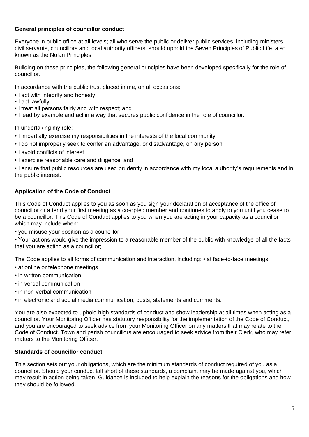## **General principles of councillor conduct**

Everyone in public office at all levels; all who serve the public or deliver public services, including ministers, civil servants, councillors and local authority officers; should uphold the Seven Principles of Public Life, also known as the Nolan Principles.

Building on these principles, the following general principles have been developed specifically for the role of councillor.

In accordance with the public trust placed in me, on all occasions:

- I act with integrity and honesty
- I act lawfully
- I treat all persons fairly and with respect; and
- I lead by example and act in a way that secures public confidence in the role of councillor.

In undertaking my role:

- I impartially exercise my responsibilities in the interests of the local community
- I do not improperly seek to confer an advantage, or disadvantage, on any person
- I avoid conflicts of interest
- I exercise reasonable care and diligence; and

• I ensure that public resources are used prudently in accordance with my local authority's requirements and in the public interest.

## **Application of the Code of Conduct**

This Code of Conduct applies to you as soon as you sign your declaration of acceptance of the office of councillor or attend your first meeting as a co-opted member and continues to apply to you until you cease to be a councillor. This Code of Conduct applies to you when you are acting in your capacity as a councillor which may include when:

• you misuse your position as a councillor

• Your actions would give the impression to a reasonable member of the public with knowledge of all the facts that you are acting as a councillor;

The Code applies to all forms of communication and interaction, including: • at face-to-face meetings

- at online or telephone meetings
- in written communication
- in verbal communication
- in non-verbal communication
- in electronic and social media communication, posts, statements and comments.

You are also expected to uphold high standards of conduct and show leadership at all times when acting as a councillor. Your Monitoring Officer has statutory responsibility for the implementation of the Code of Conduct, and you are encouraged to seek advice from your Monitoring Officer on any matters that may relate to the Code of Conduct. Town and parish councillors are encouraged to seek advice from their Clerk, who may refer matters to the Monitoring Officer.

## **Standards of councillor conduct**

This section sets out your obligations, which are the minimum standards of conduct required of you as a councillor. Should your conduct fall short of these standards, a complaint may be made against you, which may result in action being taken. Guidance is included to help explain the reasons for the obligations and how they should be followed.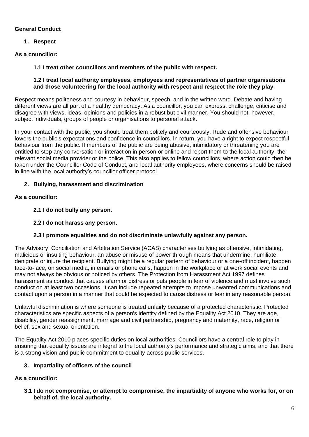## **General Conduct**

**1. Respect** 

**As a councillor:** 

**1.1 I treat other councillors and members of the public with respect.** 

#### **1.2 I treat local authority employees, employees and representatives of partner organisations and those volunteering for the local authority with respect and respect the role they play**.

Respect means politeness and courtesy in behaviour, speech, and in the written word. Debate and having different views are all part of a healthy democracy. As a councillor, you can express, challenge, criticise and disagree with views, ideas, opinions and policies in a robust but civil manner. You should not, however, subject individuals, groups of people or organisations to personal attack.

In your contact with the public, you should treat them politely and courteously. Rude and offensive behaviour lowers the public's expectations and confidence in councillors. In return, you have a right to expect respectful behaviour from the public. If members of the public are being abusive, intimidatory or threatening you are entitled to stop any conversation or interaction in person or online and report them to the local authority, the relevant social media provider or the police. This also applies to fellow councillors, where action could then be taken under the Councillor Code of Conduct, and local authority employees, where concerns should be raised in line with the local authority's councillor officer protocol.

## **2. Bullying, harassment and discrimination**

## **As a councillor:**

- **2.1 I do not bully any person.**
- **2.2 I do not harass any person.**

## **2.3 I promote equalities and do not discriminate unlawfully against any person.**

The Advisory, Conciliation and Arbitration Service (ACAS) characterises bullying as offensive, intimidating, malicious or insulting behaviour, an abuse or misuse of power through means that undermine, humiliate, denigrate or injure the recipient. Bullying might be a regular pattern of behaviour or a one-off incident, happen face-to-face, on social media, in emails or phone calls, happen in the workplace or at work social events and may not always be obvious or noticed by others. The Protection from Harassment Act 1997 defines harassment as conduct that causes alarm or distress or puts people in fear of violence and must involve such conduct on at least two occasions. It can include repeated attempts to impose unwanted communications and contact upon a person in a manner that could be expected to cause distress or fear in any reasonable person.

Unlawful discrimination is where someone is treated unfairly because of a protected characteristic. Protected characteristics are specific aspects of a person's identity defined by the Equality Act 2010. They are age, disability, gender reassignment, marriage and civil partnership, pregnancy and maternity, race, religion or belief, sex and sexual orientation.

The Equality Act 2010 places specific duties on local authorities. Councillors have a central role to play in ensuring that equality issues are integral to the local authority's performance and strategic aims, and that there is a strong vision and public commitment to equality across public services.

## **3. Impartiality of officers of the council**

## **As a councillor:**

**3.1 I do not compromise, or attempt to compromise, the impartiality of anyone who works for, or on behalf of, the local authority.**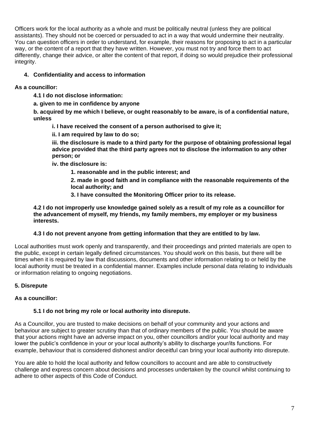Officers work for the local authority as a whole and must be politically neutral (unless they are political assistants). They should not be coerced or persuaded to act in a way that would undermine their neutrality. You can question officers in order to understand, for example, their reasons for proposing to act in a particular way, or the content of a report that they have written. However, you must not try and force them to act differently, change their advice, or alter the content of that report, if doing so would prejudice their professional integrity.

## **4. Confidentiality and access to information**

## **As a councillor:**

**4.1 I do not disclose information:** 

**a. given to me in confidence by anyone** 

**b. acquired by me which I believe, or ought reasonably to be aware, is of a confidential nature, unless** 

**i. I have received the consent of a person authorised to give it;** 

**ii. I am required by law to do so;** 

**iii. the disclosure is made to a third party for the purpose of obtaining professional legal advice provided that the third party agrees not to disclose the information to any other person; or** 

**iv. the disclosure is:** 

**1. reasonable and in the public interest; and** 

**2. made in good faith and in compliance with the reasonable requirements of the local authority; and** 

**3. I have consulted the Monitoring Officer prior to its release.** 

**4.2 I do not improperly use knowledge gained solely as a result of my role as a councillor for the advancement of myself, my friends, my family members, my employer or my business interests.** 

#### **4.3 I do not prevent anyone from getting information that they are entitled to by law.**

Local authorities must work openly and transparently, and their proceedings and printed materials are open to the public, except in certain legally defined circumstances. You should work on this basis, but there will be times when it is required by law that discussions, documents and other information relating to or held by the local authority must be treated in a confidential manner. Examples include personal data relating to individuals or information relating to ongoing negotiations.

## **5. Disrepute**

## **As a councillor:**

#### **5.1 I do not bring my role or local authority into disrepute.**

As a Councillor, you are trusted to make decisions on behalf of your community and your actions and behaviour are subject to greater scrutiny than that of ordinary members of the public. You should be aware that your actions might have an adverse impact on you, other councillors and/or your local authority and may lower the public's confidence in your or your local authority's ability to discharge your/its functions. For example, behaviour that is considered dishonest and/or deceitful can bring your local authority into disrepute.

You are able to hold the local authority and fellow councillors to account and are able to constructively challenge and express concern about decisions and processes undertaken by the council whilst continuing to adhere to other aspects of this Code of Conduct.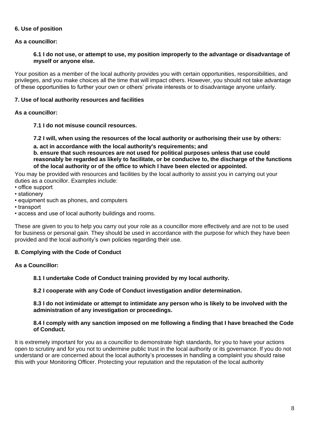#### **6. Use of position**

#### **As a councillor:**

#### **6.1 I do not use, or attempt to use, my position improperly to the advantage or disadvantage of myself or anyone else.**

Your position as a member of the local authority provides you with certain opportunities, responsibilities, and privileges, and you make choices all the time that will impact others. However, you should not take advantage of these opportunities to further your own or others' private interests or to disadvantage anyone unfairly.

#### **7. Use of local authority resources and facilities**

#### **As a councillor:**

**7.1 I do not misuse council resources.** 

**7.2 I will, when using the resources of the local authority or authorising their use by others: a. act in accordance with the local authority's requirements; and b. ensure that such resources are not used for political purposes unless that use could reasonably be regarded as likely to facilitate, or be conducive to, the discharge of the functions** 

**of the local authority or of the office to which I have been elected or appointed.** 

You may be provided with resources and facilities by the local authority to assist you in carrying out your duties as a councillor. Examples include:

- office support
- stationery
- equipment such as phones, and computers
- transport
- access and use of local authority buildings and rooms.

These are given to you to help you carry out your role as a councillor more effectively and are not to be used for business or personal gain. They should be used in accordance with the purpose for which they have been provided and the local authority's own policies regarding their use.

#### **8. Complying with the Code of Conduct**

## **As a Councillor:**

**8.1 I undertake Code of Conduct training provided by my local authority.** 

**8.2 I cooperate with any Code of Conduct investigation and/or determination.** 

#### **8.3 I do not intimidate or attempt to intimidate any person who is likely to be involved with the administration of any investigation or proceedings.**

#### **8.4 I comply with any sanction imposed on me following a finding that I have breached the Code of Conduct.**

It is extremely important for you as a councillor to demonstrate high standards, for you to have your actions open to scrutiny and for you not to undermine public trust in the local authority or its governance. If you do not understand or are concerned about the local authority's processes in handling a complaint you should raise this with your Monitoring Officer. Protecting your reputation and the reputation of the local authority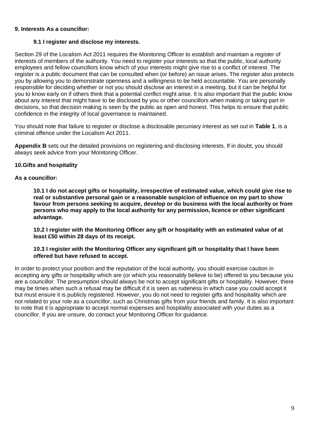#### **9. Interests As a councillor:**

#### **9.1 I register and disclose my interests.**

Section 29 of the Localism Act 2011 requires the Monitoring Officer to establish and maintain a register of interests of members of the authority. You need to register your interests so that the public, local authority employees and fellow councillors know which of your interests might give rise to a conflict of interest. The register is a public document that can be consulted when (or before) an issue arises. The register also protects you by allowing you to demonstrate openness and a willingness to be held accountable. You are personally responsible for deciding whether or not you should disclose an interest in a meeting, but it can be helpful for you to know early on if others think that a potential conflict might arise. It is also important that the public know about any interest that might have to be disclosed by you or other councillors when making or taking part in decisions, so that decision making is seen by the public as open and honest. This helps to ensure that public confidence in the integrity of local governance is maintained.

You should note that failure to register or disclose a disclosable pecuniary interest as set out in **Table 1**, is a criminal offence under the Localism Act 2011.

**Appendix B** sets out the detailed provisions on registering and disclosing interests. If in doubt, you should always seek advice from your Monitoring Officer.

#### **10.Gifts and hospitality**

#### **As a councillor:**

**10.1 I do not accept gifts or hospitality, irrespective of estimated value, which could give rise to real or substantive personal gain or a reasonable suspicion of influence on my part to show favour from persons seeking to acquire, develop or do business with the local authority or from persons who may apply to the local authority for any permission, licence or other significant advantage.** 

**10.2 I register with the Monitoring Officer any gift or hospitality with an estimated value of at least £50 within 28 days of its receipt.** 

#### **10.3 I register with the Monitoring Officer any significant gift or hospitality that I have been offered but have refused to accept.**

In order to protect your position and the reputation of the local authority, you should exercise caution in accepting any gifts or hospitality which are (or which you reasonably believe to be) offered to you because you are a councillor. The presumption should always be not to accept significant gifts or hospitality. However, there may be times when such a refusal may be difficult if it is seen as rudeness in which case you could accept it but must ensure it is publicly registered. However, you do not need to register gifts and hospitality which are not related to your role as a councillor, such as Christmas gifts from your friends and family. It is also important to note that it is appropriate to accept normal expenses and hospitality associated with your duties as a councillor. If you are unsure, do contact your Monitoring Officer for guidance.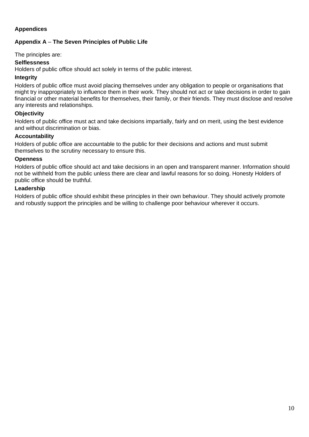## **Appendices**

## **Appendix A** – **The Seven Principles of Public Life**

The principles are:

#### **Selflessness**

Holders of public office should act solely in terms of the public interest.

#### **Integrity**

Holders of public office must avoid placing themselves under any obligation to people or organisations that might try inappropriately to influence them in their work. They should not act or take decisions in order to gain financial or other material benefits for themselves, their family, or their friends. They must disclose and resolve any interests and relationships.

#### **Objectivity**

Holders of public office must act and take decisions impartially, fairly and on merit, using the best evidence and without discrimination or bias.

#### **Accountability**

Holders of public office are accountable to the public for their decisions and actions and must submit themselves to the scrutiny necessary to ensure this.

#### **Openness**

Holders of public office should act and take decisions in an open and transparent manner. Information should not be withheld from the public unless there are clear and lawful reasons for so doing. Honesty Holders of public office should be truthful.

#### **Leadership**

Holders of public office should exhibit these principles in their own behaviour. They should actively promote and robustly support the principles and be willing to challenge poor behaviour wherever it occurs.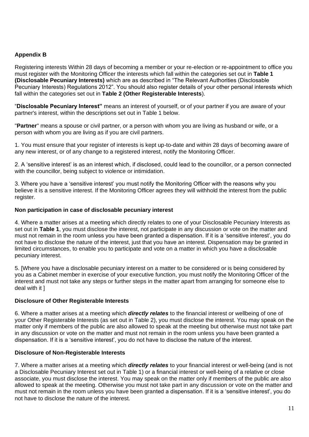## **Appendix B**

Registering interests Within 28 days of becoming a member or your re-election or re-appointment to office you must register with the Monitoring Officer the interests which fall within the categories set out in **Table 1 (Disclosable Pecuniary Interests)** which are as described in "The Relevant Authorities (Disclosable Pecuniary Interests) Regulations 2012". You should also register details of your other personal interests which fall within the categories set out in **Table 2 (Other Registerable Interests**).

"**Disclosable Pecuniary Interest"** means an interest of yourself, or of your partner if you are aware of your partner's interest, within the descriptions set out in Table 1 below.

"**Partner**" means a spouse or civil partner, or a person with whom you are living as husband or wife, or a person with whom you are living as if you are civil partners.

1. You must ensure that your register of interests is kept up-to-date and within 28 days of becoming aware of any new interest, or of any change to a registered interest, notify the Monitoring Officer.

2. A 'sensitive interest' is as an interest which, if disclosed, could lead to the councillor, or a person connected with the councillor, being subject to violence or intimidation.

3. Where you have a 'sensitive interest' you must notify the Monitoring Officer with the reasons why you believe it is a sensitive interest. If the Monitoring Officer agrees they will withhold the interest from the public register.

#### **Non participation in case of disclosable pecuniary interest**

4. Where a matter arises at a meeting which directly relates to one of your Disclosable Pecuniary Interests as set out in **Table 1**, you must disclose the interest, not participate in any discussion or vote on the matter and must not remain in the room unless you have been granted a dispensation. If it is a 'sensitive interest', you do not have to disclose the nature of the interest, just that you have an interest. Dispensation may be granted in limited circumstances, to enable you to participate and vote on a matter in which you have a disclosable pecuniary interest.

5. [Where you have a disclosable pecuniary interest on a matter to be considered or is being considered by you as a Cabinet member in exercise of your executive function, you must notify the Monitoring Officer of the interest and must not take any steps or further steps in the matter apart from arranging for someone else to deal with it ]

#### **Disclosure of Other Registerable Interests**

6. Where a matter arises at a meeting which *directly relates* to the financial interest or wellbeing of one of your Other Registerable Interests (as set out in Table 2), you must disclose the interest. You may speak on the matter only if members of the public are also allowed to speak at the meeting but otherwise must not take part in any discussion or vote on the matter and must not remain in the room unless you have been granted a dispensation. If it is a 'sensitive interest', you do not have to disclose the nature of the interest.

#### **Disclosure of Non-Registerable Interests**

7. Where a matter arises at a meeting which *directly relates* to your financial interest or well-being (and is not a Disclosable Pecuniary Interest set out in Table 1) or a financial interest or well-being of a relative or close associate, you must disclose the interest. You may speak on the matter only if members of the public are also allowed to speak at the meeting. Otherwise you must not take part in any discussion or vote on the matter and must not remain in the room unless you have been granted a dispensation. If it is a 'sensitive interest', you do not have to disclose the nature of the interest.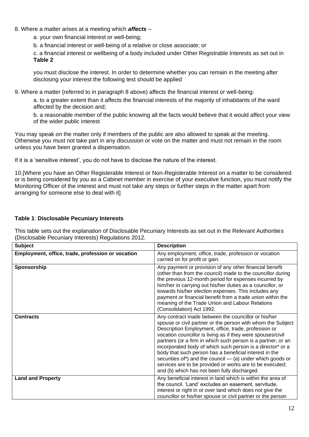#### 8. Where a matter arises at a meeting which *affects* –

a. your own financial interest or well-being;

b. a financial interest or well-being of a relative or close associate; or

c. a financial interest or wellbeing of a body included under Other Registrable Interests as set out in **Table 2**

you must disclose the interest. In order to determine whether you can remain in the meeting after disclosing your interest the following test should be applied

9. Where a matter (referred to in paragraph 8 above) affects the financial interest or well-being:

a. to a greater extent than it affects the financial interests of the majority of inhabitants of the ward affected by the decision and;

b. a reasonable member of the public knowing all the facts would believe that it would affect your view of the wider public interest

You may speak on the matter only if members of the public are also allowed to speak at the meeting. Otherwise you must not take part in any discussion or vote on the matter and must not remain in the room unless you have been granted a dispensation.

If it is a 'sensitive interest', you do not have to disclose the nature of the interest.

10.[Where you have an Other Registerable Interest or Non-Registerable Interest on a matter to be considered or is being considered by you as a Cabinet member in exercise of your executive function, you must notify the Monitoring Officer of the interest and must not take any steps or further steps in the matter apart from arranging for someone else to deal with it]

#### **Table 1**: **Disclosable Pecuniary Interests**

This table sets out the explanation of Disclosable Pecuniary Interests as set out in the Relevant Authorities (Disclosable Pecuniary Interests) Regulations 2012.

| <b>Subject</b>                                    | <b>Description</b>                                                                                                                                                                                                                                                                                                                                                                                                                                                                                                                                                                                            |
|---------------------------------------------------|---------------------------------------------------------------------------------------------------------------------------------------------------------------------------------------------------------------------------------------------------------------------------------------------------------------------------------------------------------------------------------------------------------------------------------------------------------------------------------------------------------------------------------------------------------------------------------------------------------------|
| Employment, office, trade, profession or vocation | Any employment, office, trade, profession or vocation<br>carried on for profit or gain.                                                                                                                                                                                                                                                                                                                                                                                                                                                                                                                       |
| Sponsorship                                       | Any payment or provision of any other financial benefit<br>(other than from the council) made to the councillor during<br>the previous 12-month period for expenses incurred by<br>him/her in carrying out his/her duties as a councillor, or<br>towards his/her election expenses. This includes any<br>payment or financial benefit from a trade union within the<br>meaning of the Trade Union and Labour Relations<br>(Consolidation) Act 1992.                                                                                                                                                           |
| <b>Contracts</b>                                  | Any contract made between the councillor or his/her<br>spouse or civil partner or the person with whom the Subject<br>Description Employment, office, trade, profession or<br>vocation councillor is living as if they were spouses/civil<br>partners (or a firm in which such person is a partner, or an<br>incorporated body of which such person is a director* or a<br>body that such person has a beneficial interest in the<br>securities of*) and the council $-$ (a) under which goods or<br>services are to be provided or works are to be executed;<br>and (b) which has not been fully discharged. |
| <b>Land and Property</b>                          | Any beneficial interest in land which is within the area of<br>the council. 'Land' excludes an easement, servitude,<br>interest or right in or over land which does not give the<br>councillor or his/her spouse or civil partner or the person                                                                                                                                                                                                                                                                                                                                                               |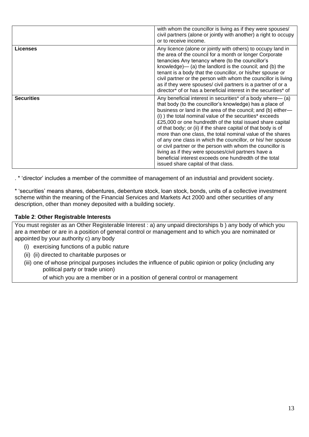|                   | with whom the councillor is living as if they were spouses/<br>civil partners (alone or jointly with another) a right to occupy<br>or to receive income.                                                                                                                                                                                                                                                                                                                                                                                                                                                                                                                                                                                |
|-------------------|-----------------------------------------------------------------------------------------------------------------------------------------------------------------------------------------------------------------------------------------------------------------------------------------------------------------------------------------------------------------------------------------------------------------------------------------------------------------------------------------------------------------------------------------------------------------------------------------------------------------------------------------------------------------------------------------------------------------------------------------|
| Licenses          | Any licence (alone or jointly with others) to occupy land in<br>the area of the council for a month or longer Corporate<br>tenancies Any tenancy where (to the councillor's<br>knowledge)— (a) the landlord is the council; and (b) the<br>tenant is a body that the councillor, or his/her spouse or<br>civil partner or the person with whom the councillor is living<br>as if they were spouses/ civil partners is a partner of or a<br>director* of or has a beneficial interest in the securities* of                                                                                                                                                                                                                              |
| <b>Securities</b> | Any beneficial interest in securities* of a body where— (a)<br>that body (to the councillor's knowledge) has a place of<br>business or land in the area of the council; and (b) either-<br>(i) ) the total nominal value of the securities* exceeds<br>£25,000 or one hundredth of the total issued share capital<br>of that body; or (ii) if the share capital of that body is of<br>more than one class, the total nominal value of the shares<br>of any one class in which the councillor, or his/ her spouse<br>or civil partner or the person with whom the councillor is<br>living as if they were spouses/civil partners have a<br>beneficial interest exceeds one hundredth of the total<br>issued share capital of that class. |

. \* 'director' includes a member of the committee of management of an industrial and provident society.

\* 'securities' means shares, debentures, debenture stock, loan stock, bonds, units of a collective investment scheme within the meaning of the Financial Services and Markets Act 2000 and other securities of any description, other than money deposited with a building society.

#### **Table 2**: **Other Registrable Interests**

You must register as an Other Registerable Interest : a) any unpaid directorships b ) any body of which you are a member or are in a position of general control or management and to which you are nominated or appointed by your authority c) any body

- (i) exercising functions of a public nature
- (ii) (ii) directed to charitable purposes or
- (iii) one of whose principal purposes includes the influence of public opinion or policy (including any political party or trade union)

of which you are a member or in a position of general control or management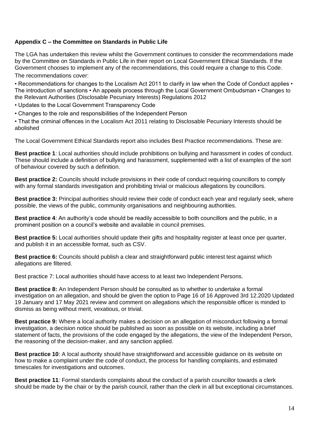## **Appendix C – the Committee on Standards in Public Life**

The LGA has undertaken this review whilst the Government continues to consider the recommendations made by the Committee on Standards in Public Life in their report on Local Government Ethical Standards. If the Government chooses to implement any of the recommendations, this could require a change to this Code.

The recommendations cover:

• Recommendations for changes to the Localism Act 2011 to clarify in law when the Code of Conduct applies • The introduction of sanctions • An appeals process through the Local Government Ombudsman • Changes to the Relevant Authorities (Disclosable Pecuniary Interests) Regulations 2012

• Updates to the Local Government Transparency Code

• Changes to the role and responsibilities of the Independent Person

• That the criminal offences in the Localism Act 2011 relating to Disclosable Pecuniary Interests should be abolished

The Local Government Ethical Standards report also includes Best Practice recommendations. These are:

**Best practice 1**: Local authorities should include prohibitions on bullying and harassment in codes of conduct. These should include a definition of bullying and harassment, supplemented with a list of examples of the sort of behaviour covered by such a definition.

**Best practice 2:** Councils should include provisions in their code of conduct requiring councillors to comply with any formal standards investigation and prohibiting trivial or malicious allegations by councillors.

**Best practice 3:** Principal authorities should review their code of conduct each year and regularly seek, where possible, the views of the public, community organisations and neighbouring authorities.

**Best practice 4**: An authority's code should be readily accessible to both councillors and the public, in a prominent position on a council's website and available in council premises.

**Best practice 5:** Local authorities should update their gifts and hospitality register at least once per quarter, and publish it in an accessible format, such as CSV.

**Best practice 6:** Councils should publish a clear and straightforward public interest test against which allegations are filtered.

Best practice 7: Local authorities should have access to at least two Independent Persons.

**Best practice 8:** An Independent Person should be consulted as to whether to undertake a formal investigation on an allegation, and should be given the option to Page 16 of 16 Approved 3rd 12.2020 Updated 19 January and 17 May 2021 review and comment on allegations which the responsible officer is minded to dismiss as being without merit, vexatious, or trivial.

**Best practice 9:** Where a local authority makes a decision on an allegation of misconduct following a formal investigation, a decision notice should be published as soon as possible on its website, including a brief statement of facts, the provisions of the code engaged by the allegations, the view of the Independent Person, the reasoning of the decision-maker, and any sanction applied.

**Best practice 10**: A local authority should have straightforward and accessible guidance on its website on how to make a complaint under the code of conduct, the process for handling complaints, and estimated timescales for investigations and outcomes.

**Best practice 11**: Formal standards complaints about the conduct of a parish councillor towards a clerk should be made by the chair or by the parish council, rather than the clerk in all but exceptional circumstances.